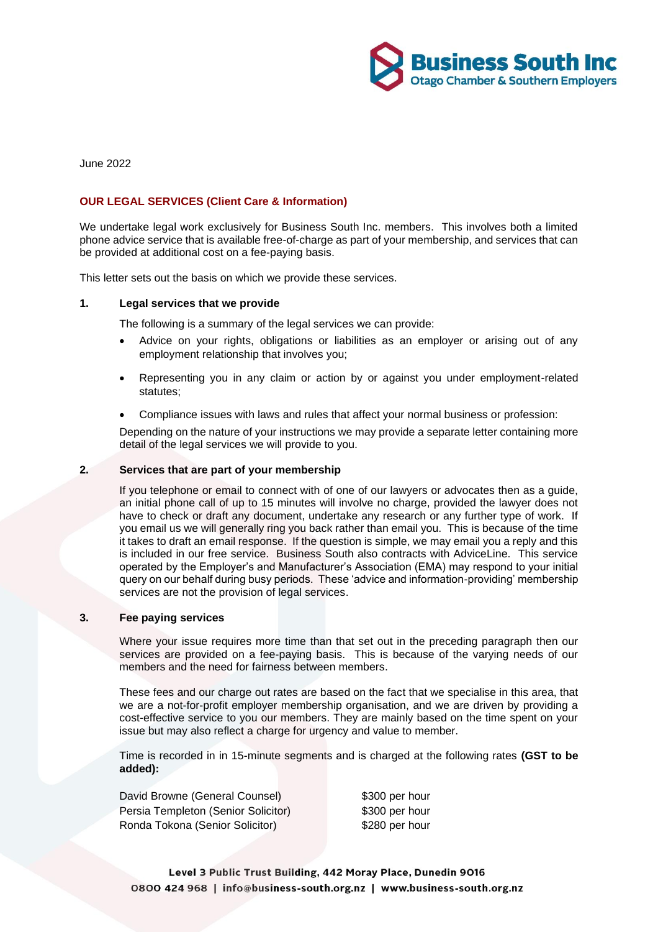

June 2022

# **OUR LEGAL SERVICES (Client Care & Information)**

We undertake legal work exclusively for Business South Inc. members. This involves both a limited phone advice service that is available free-of-charge as part of your membership, and services that can be provided at additional cost on a fee-paying basis.

This letter sets out the basis on which we provide these services.

### **1. Legal services that we provide**

The following is a summary of the legal services we can provide:

- Advice on your rights, obligations or liabilities as an employer or arising out of any employment relationship that involves you;
- Representing you in any claim or action by or against you under employment-related statutes;
- Compliance issues with laws and rules that affect your normal business or profession:

Depending on the nature of your instructions we may provide a separate letter containing more detail of the legal services we will provide to you.

#### **2. Services that are part of your membership**

If you telephone or email to connect with of one of our lawyers or advocates then as a guide, an initial phone call of up to 15 minutes will involve no charge, provided the lawyer does not have to check or draft any document, undertake any research or any further type of work. If you email us we will generally ring you back rather than email you. This is because of the time it takes to draft an email response. If the question is simple, we may email you a reply and this is included in our free service. Business South also contracts with AdviceLine. This service operated by the Employer's and Manufacturer's Association (EMA) may respond to your initial query on our behalf during busy periods. These 'advice and information-providing' membership services are not the provision of legal services.

### **3. Fee paying services**

Where your issue requires more time than that set out in the preceding paragraph then our services are provided on a fee-paying basis. This is because of the varying needs of our members and the need for fairness between members.

These fees and our charge out rates are based on the fact that we specialise in this area, that we are a not-for-profit employer membership organisation, and we are driven by providing a cost-effective service to you our members. They are mainly based on the time spent on your issue but may also reflect a charge for urgency and value to member.

Time is recorded in in 15-minute segments and is charged at the following rates **(GST to be added):**

David Browne (General Counsel) \$300 per hour Persia Templeton (Senior Solicitor) \$300 per hour Ronda Tokona (Senior Solicitor) \$280 per hour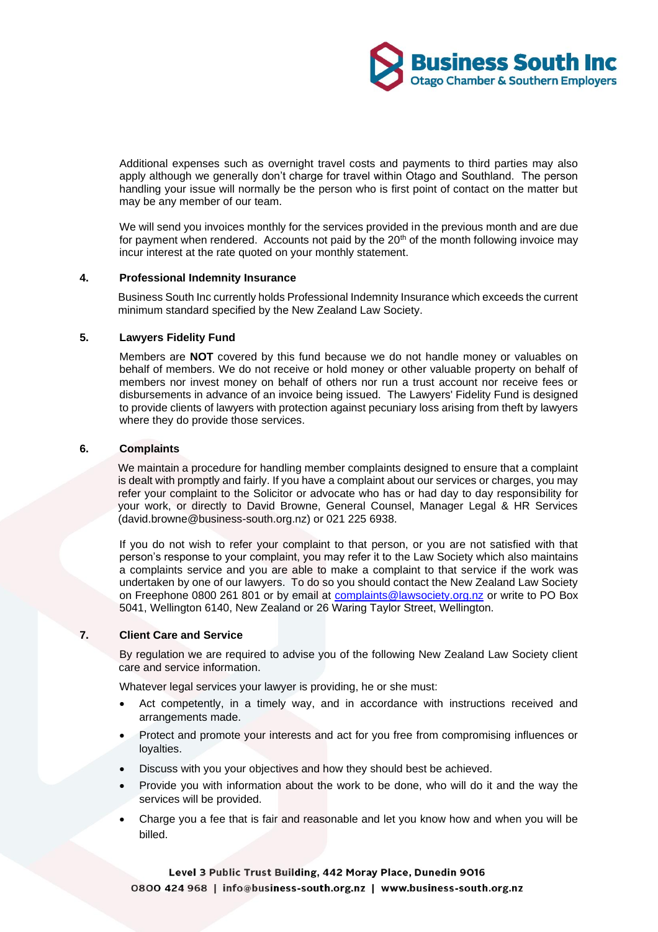Additional expenses such as overnight travel costs and payments to third parties may also apply although we generally don't charge for travel within Otago and Southland. The person handling your issue will normally be the person who is first point of contact on the matter but may be any member of our team.

We will send you invoices monthly for the services provided in the previous month and are due for payment when rendered. Accounts not paid by the  $20<sup>th</sup>$  of the month following invoice may incur interest at the rate quoted on your monthly statement.

# **4. Professional Indemnity Insurance**

Business South Inc currently holds Professional Indemnity Insurance which exceeds the current minimum standard specified by the New Zealand Law Society.

# **5. Lawyers Fidelity Fund**

Members are **NOT** covered by this fund because we do not handle money or valuables on behalf of members. We do not receive or hold money or other valuable property on behalf of members nor invest money on behalf of others nor run a trust account nor receive fees or disbursements in advance of an invoice being issued. The Lawyers' Fidelity Fund is designed to provide clients of lawyers with protection against pecuniary loss arising from theft by lawyers where they do provide those services.

### **6. Complaints**

We maintain a procedure for handling member complaints designed to ensure that a complaint is dealt with promptly and fairly. If you have a complaint about our services or charges, you may refer your complaint to the Solicitor or advocate who has or had day to day responsibility for your work, or directly to David Browne, General Counsel, Manager Legal & HR Services (david.browne@business-south.org.nz) or 021 225 6938.

If you do not wish to refer your complaint to that person, or you are not satisfied with that person's response to your complaint, you may refer it to the Law Society which also maintains a complaints service and you are able to make a complaint to that service if the work was undertaken by one of our lawyers. To do so you should contact the New Zealand Law Society on Freephone 0800 261 801 or by email at [complaints@lawsociety.org.nz](mailto:complaints@lawsociety.org.nz) or write to PO Box 5041, Wellington 6140, New Zealand or 26 Waring Taylor Street, Wellington.

# **7. Client Care and Service**

By regulation we are required to advise you of the following New Zealand Law Society client care and service information.

Whatever legal services your lawyer is providing, he or she must:

- Act competently, in a timely way, and in accordance with instructions received and arrangements made.
- Protect and promote your interests and act for you free from compromising influences or loyalties.
- Discuss with you your objectives and how they should best be achieved.
- Provide you with information about the work to be done, who will do it and the way the services will be provided.
- Charge you a fee that is fair and reasonable and let you know how and when you will be billed.

Level 3 Public Trust Building, 442 Moray Place, Dunedin 9016 0800 424 968 | info@business-south.org.nz | www.business-south.org.nz